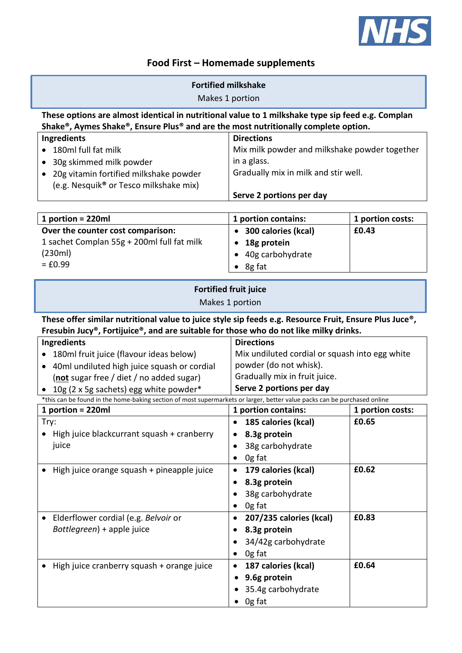

## **Food First – Homemade supplements**

| <b>Fortified milkshake</b><br>Makes 1 portion                                                                                                                                                           |                                                                                                                                                            |                           |  |  |
|---------------------------------------------------------------------------------------------------------------------------------------------------------------------------------------------------------|------------------------------------------------------------------------------------------------------------------------------------------------------------|---------------------------|--|--|
| These options are almost identical in nutritional value to 1 milkshake type sip feed e.g. Complan<br>Shake®, Aymes Shake®, Ensure Plus® and are the most nutritionally complete option.                 |                                                                                                                                                            |                           |  |  |
| Ingredients<br>180ml full fat milk<br>30g skimmed milk powder<br>20g vitamin fortified milkshake powder<br>(e.g. Nesquik <sup>®</sup> or Tesco milkshake mix)                                           | <b>Directions</b><br>Mix milk powder and milkshake powder together<br>in a glass.<br>Gradually mix in milk and stir well.<br>Serve 2 portions per day      |                           |  |  |
|                                                                                                                                                                                                         |                                                                                                                                                            |                           |  |  |
| 1 portion = 220ml                                                                                                                                                                                       | 1 portion contains:                                                                                                                                        | 1 portion costs:          |  |  |
| Over the counter cost comparison:<br>1 sachet Complan 55g + 200ml full fat milk<br>(230ml)<br>$= £0.99$                                                                                                 | 300 calories (kcal)<br>18g protein<br>$\bullet$<br>40g carbohydrate<br>8g fat                                                                              | £0.43                     |  |  |
| <b>Fortified fruit juice</b><br>Makes 1 portion                                                                                                                                                         |                                                                                                                                                            |                           |  |  |
| These offer similar nutritional value to juice style sip feeds e.g. Resource Fruit, Ensure Plus Juce®,<br>Fresubin Jucy®, Fortijuice®, and are suitable for those who do not like milky drinks.         |                                                                                                                                                            |                           |  |  |
| <b>Ingredients</b><br>180ml fruit juice (flavour ideas below)<br>40ml undiluted high juice squash or cordial<br>٠<br>(not sugar free / diet / no added sugar)<br>10g (2 x 5g sachets) egg white powder* | <b>Directions</b><br>Mix undiluted cordial or squash into egg white<br>powder (do not whisk).<br>Gradually mix in fruit juice.<br>Serve 2 portions per day |                           |  |  |
| *this can be found in the home-baking section of most supermarkets or larger, better value packs can be purchased online                                                                                |                                                                                                                                                            |                           |  |  |
| 1 portion = 220ml<br>Try:<br>High juice blackcurrant squash + cranberry<br>juice                                                                                                                        | 1 portion contains:<br>• 185 calories (kcal)<br>8.3g protein<br>38g carbohydrate<br>$\bullet$<br>Og fat<br>$\bullet$                                       | 1 portion costs:<br>£0.65 |  |  |
| High juice orange squash + pineapple juice                                                                                                                                                              | 179 calories (kcal)<br>$\bullet$<br>8.3g protein<br>$\bullet$<br>38g carbohydrate<br>$\bullet$<br>Og fat<br>$\bullet$                                      | £0.62                     |  |  |
| Elderflower cordial (e.g. Belvoir or<br>Bottlegreen) + apple juice                                                                                                                                      | 207/235 calories (kcal)<br>$\bullet$<br>8.3g protein<br>$\bullet$<br>34/42g carbohydrate<br>Og fat<br>$\bullet$                                            | £0.83                     |  |  |
| High juice cranberry squash + orange juice                                                                                                                                                              | 187 calories (kcal)<br>$\bullet$<br>9.6g protein<br>٠<br>35.4g carbohydrate<br>Og fat                                                                      | £0.64                     |  |  |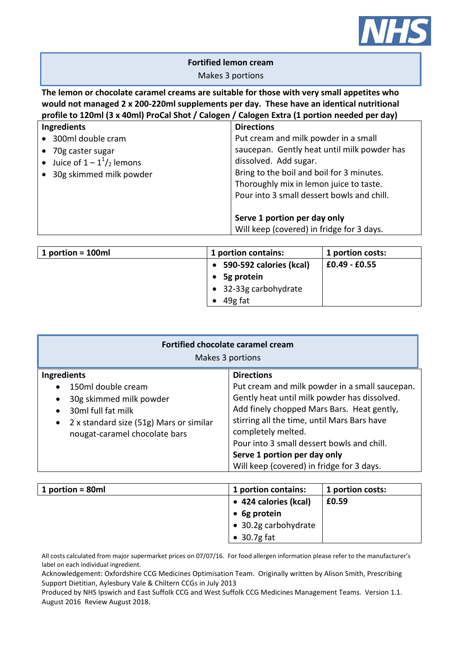

## **Fortified lemon cream**

## Makes 3 portions

**The lemon or chocolate caramel creams are suitable for those with very small appetites who would not managed 2 x 200-220ml supplements per day. These have an identical nutritional profile to 120ml (3 x 40ml) ProCal Shot / Calogen / Calogen Extra (1 portion needed per day)**

| Ingredients                                | <b>Directions</b>                           |  |
|--------------------------------------------|---------------------------------------------|--|
| • 300ml double cram                        | Put cream and milk powder in a small        |  |
| • 70g caster sugar                         | saucepan. Gently heat until milk powder has |  |
| • Juice of $1 - 1^1$ / <sub>2</sub> lemons | dissolved. Add sugar.                       |  |
| • 30g skimmed milk powder                  | Bring to the boil and boil for 3 minutes.   |  |
|                                            | Thoroughly mix in lemon juice to taste.     |  |
|                                            | Pour into 3 small dessert bowls and chill.  |  |
|                                            |                                             |  |
|                                            | Serve 1 portion per day only                |  |
|                                            | Will keep (covered) in fridge for 3 days.   |  |

| 1 portion = $100ml$ | 1 portion contains:                  | 1 portion costs:  |
|---------------------|--------------------------------------|-------------------|
|                     | 590-592 calories (kcal)<br>$\bullet$ | $ $ £0.49 - £0.55 |
|                     | 5g protein<br>$\bullet$              |                   |
|                     | • 32-33g carbohydrate                |                   |
|                     | 49g fat                              |                   |

| <b>Fortified chocolate caramel cream</b><br>Makes 3 portions |                                                |  |  |
|--------------------------------------------------------------|------------------------------------------------|--|--|
| Ingredients                                                  | <b>Directions</b>                              |  |  |
| 150ml double cream                                           | Put cream and milk powder in a small saucepan. |  |  |
| $\bullet$                                                    | Gently heat until milk powder has dissolved.   |  |  |
| 30g skimmed milk powder                                      | Add finely chopped Mars Bars. Heat gently,     |  |  |
| $\bullet$                                                    | stirring all the time, until Mars Bars have    |  |  |
| 30ml full fat milk                                           | completely melted.                             |  |  |
| 2 x standard size (51g) Mars or similar                      | Pour into 3 small dessert bowls and chill.     |  |  |
| $\bullet$                                                    | Serve 1 portion per day only                   |  |  |
| nougat-caramel chocolate bars                                | Will keep (covered) in fridge for 3 days.      |  |  |

| 1 portion = $80ml$ | 1 portion contains:   | 1 portion costs: |
|--------------------|-----------------------|------------------|
|                    | • 424 calories (kcal) | £0.59            |
|                    | $\bullet$ 6g protein  |                  |
|                    | • 30.2g carbohydrate  |                  |
|                    | $\bullet$ 30.7g fat   |                  |

All costs calculated from major supermarket prices on 07/07/16. For food allergen information please refer to the manufacturer's label on each individual ingredient.

Acknowledgement: Oxfordshire CCG Medicines Optimisation Team. Originally written by Alison Smith, Prescribing Support Dietitian, Aylesbury Vale & Chiltern CCGs in July 2013

Produced by NHS Ipswich and East Suffolk CCG and West Suffolk CCG Medicines Management Teams. Version 1.1. August 2016 Review August 2018.